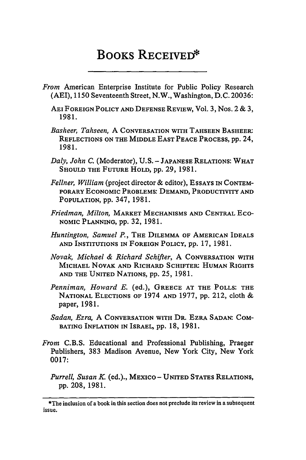## BOOKS RECEIVED\*

- *From* American Enterprise Institute for Public Policy Research (AEI), 1150 Seventeenth Street, N.W., Washington, D.C. 20036:
	- AEI FOREIGN POLICY AND DEFENSE REVIEW, Vol. 3, Nos. 2 & 3, 1981.
	- *Basheer, Tahseen,* A CONVERSATION WITH TAHSEEN BASHEER: REFLECTIONS ON THE MIDDLE EAST PEACE PROCESS, **pp.** 24, 1981.
	- *Daly, John C.* (Moderator), U.S. JAPANESE RELATIONS: WHAT SHOULD THE FUTURE HOLD, **pp.** 29, 1981.
	- *Fellner, William* (project director & editor), ESSAYS **IN** CONTEM-PORARY ECONOMIC PROBLEMS: DEMAND, PRODUCTIVITY AND POPULATION, **pp.** 347, 1981.
	- *Friedman, Milton,* MARKET MECHANISMS AND CENTRAL ECo-**NOMIC** PLANNING, **pp.** 32, 1981.
	- *Huntington, Samuel P.,* THE DILEMMA OF AMERICAN IDEALS AND INSTITUTIONS IN FOREIGN POLICY, **pp.** 17, 1981.
	- *Novak, Michael & Richard Schifter,* A CONVERSATION WITH MICHAEL NOVAK **AND** RICHARD SCHIFTER: HUMAN RIGHTS AND THE UNITED NATIONS, **pp.** 25, 1981.
	- *Penniman, Howard E.* (ed.), GREECE AT THE POLLS: THE NATIONAL ELECTIONS OF 1974 AND **1977, pp.** 212, cloth & paper, 1981.
	- *Sadan, Ezra,* A CONVERSATION WITH **DR.** EZRA SADAN: COM-BATING INFLATION IN ISRAEL, pp. 18, 1981.
- *From* **C.B.S.** Educational and Professional Publishing, Praeger Publishers, 383 Madison Avenue, New York City, New York 0017:
	- *Purrell, Susan K.* (ed.)., MEXICO- UNITED STATES **RELATIONS, pp.** 208, 1981.

<sup>\*</sup>The inclusion of a book in this section does not preclude its review in a subsequent issue.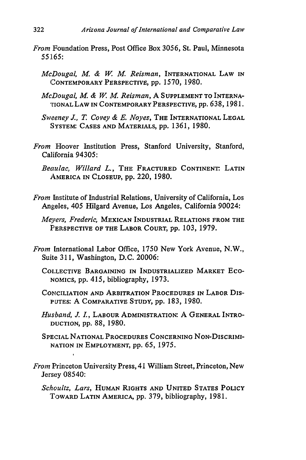- *From* Foundation Press, Post Office Box 3056, St. Paul, Minnesota *55165:*
	- *McDougal, M. & W M. Reisman,* INTERNATIONAL **LAW IN CONTEMPORARY PERSPECTIVE, pp.** 1570, 1980.
	- *McDougal, M. & W M. Reisman,* A **SUPPLEMENT TO** INTERNA-TIONAL **LAW IN** CONTEMPORARY **PERSPECTIVE, pp. 638, 1981.**
	- *Sweeney J., T. Covey & E. Noyes,* THE INTERNATIONAL **LEGAL** SYSTEM: **CASES AND** MATERIALS, pp. 1361, 1980.
- *From* Hoover Institution Press, Stanford University, Stanford, California 94305:
	- *Beau lac, Willard L.,* THE FRACTURED CONTINENT. **LATIN AMERICA IN CLOSEUP, pp.** 220, **1980.**
- *From* Institute of Industrial Relations, University of California, Los Angeles, 405 Hilgard Avenue, Los Angeles, California 90024:
	- *Meyers, Frederic,* MEXICAN INDUSTRIAL **RELATIONS** FROM **THE** PERSPECTIVE OF THE LABOR **COURT,** pp. 103, 1979.
- *From* International Labor Office, 1750 New York Avenue, N.W., Suite 311, Washington, D.C. 20006:
	- **COLLECTIVE BARGAINING IN INDUSTRIALIZED MARKET** ECO-**NOMICS, pp.** 415, bibliography, **1973.**
	- **CONCILIATION AND ARBITRATION PROCEDURES IN LABOR DIS-**PUTES: A COMPARATIVE **STUDY,** pp. 183, 1980.
	- *Husband, J L,* LABOUR ADMINISTRATION: A **GENERAL** INTRO-**DUCTION, pp.** 88, **1980.**
	- **SPECIAL NATIONAL PROCEDURES CONCERNING NON-DISCRIMI-NATION** IN **EMPLOYMENT, pp. 65, 1975.**
- *From* Princeton University Press, 41 William Street, Princeton, New Jersey 08540:

**I**

*Schoultz, Lars,* **HUMAN** RIGHTS **AND** UNITED **STATES** POLICY TOWARD **LATIN** AMERICA, **pp.** 379, bibliography, **1981.**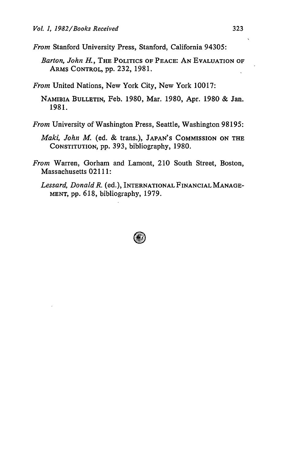*From* Stanford University Press, Stanford, California 94305:

- *Barton, John H.,* THE POLITICS OF **PEACE: AN EVALUATION** OF ARMS CONTROL, pp. 232, 1981.
- *From* United Nations, New York City, New York 10017:
	- **NAMIBIA** BULLETIN, Feb. 1980, Mar. 1980, Apr. 1980 & Jan. 1981.
- *From* University of Washington Press, Seattle, Washington 98195:
	- *Maki, John M.* (ed. & trans.), **JAPAN'S** COMMISSION **ON** THE **CONSTITUTION,** pp. 393, bibliography, 1980.
- *From* Warren, Gorham and Lamont, 210 South Street, Boston, Massachusetts 02111:
	- *Lessard, Donald R.* (ed.), **INTERNATIONAL FINANCIAL MANAGE-MENT,** pp. 618, bibliography, 1979.